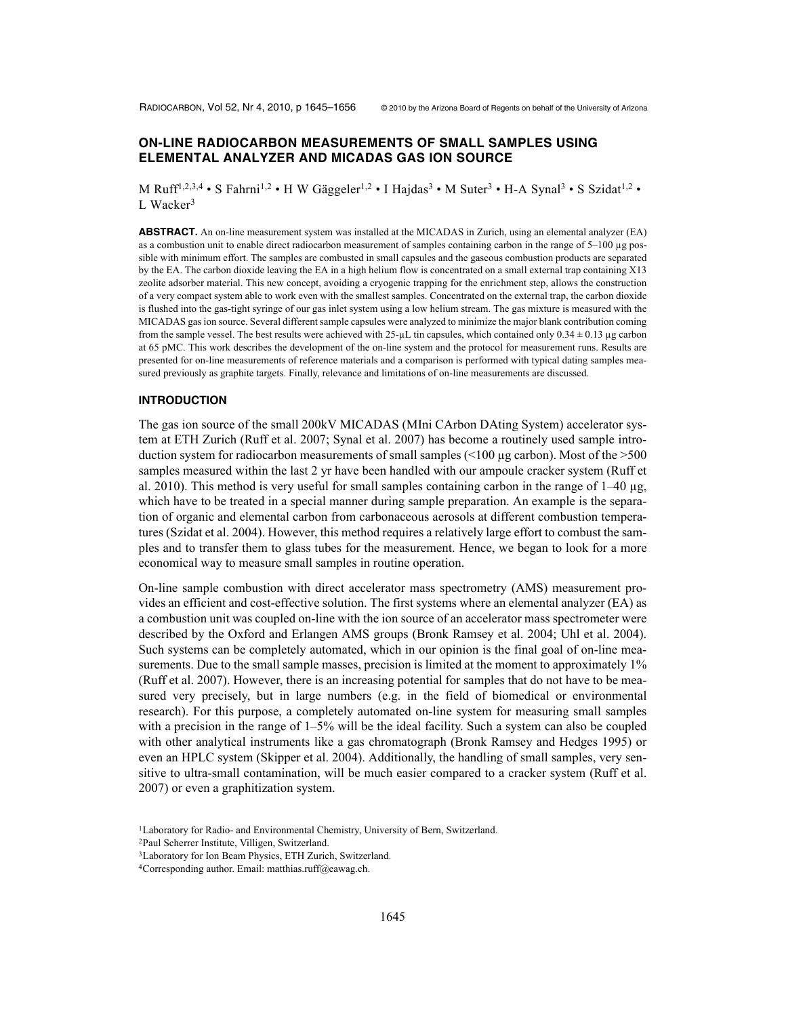# **ON-LINE RADIOCARBON MEASUREMENTS OF SMALL SAMPLES USING ELEMENTAL ANALYZER AND MICADAS GAS ION SOURCE**

M Ruff<sup>1,2,3,4</sup> • S Fahrni<sup>1,2</sup> • H W Gäggeler<sup>1,2</sup> • I Hajdas<sup>3</sup> • M Suter<sup>3</sup> • H-A Synal<sup>3</sup> • S Szidat<sup>1,2</sup> • L Wacker<sup>3</sup>

**ABSTRACT.** An on-line measurement system was installed at the MICADAS in Zurich, using an elemental analyzer (EA) as a combustion unit to enable direct radiocarbon measurement of samples containing carbon in the range of 5–100 µg possible with minimum effort. The samples are combusted in small capsules and the gaseous combustion products are separated by the EA. The carbon dioxide leaving the EA in a high helium flow is concentrated on a small external trap containing X13 zeolite adsorber material. This new concept, avoiding a cryogenic trapping for the enrichment step, allows the construction of a very compact system able to work even with the smallest samples. Concentrated on the external trap, the carbon dioxide is flushed into the gas-tight syringe of our gas inlet system using a low helium stream. The gas mixture is measured with the MICADAS gas ion source. Several different sample capsules were analyzed to minimize the major blank contribution coming from the sample vessel. The best results were achieved with  $25-\mu L$  tin capsules, which contained only  $0.34 \pm 0.13 \,\mu g$  carbon at 65 pMC. This work describes the development of the on-line system and the protocol for measurement runs. Results are presented for on-line measurements of reference materials and a comparison is performed with typical dating samples measured previously as graphite targets. Finally, relevance and limitations of on-line measurements are discussed.

### **INTRODUCTION**

The gas ion source of the small 200kV MICADAS (MIni CArbon DAting System) accelerator system at ETH Zurich (Ruff et al. 2007; Synal et al. 2007) has become a routinely used sample introduction system for radiocarbon measurements of small samples  $\ll 100 \mu g$  carbon). Most of the  $> 500$ samples measured within the last 2 yr have been handled with our ampoule cracker system (Ruff et al. 2010). This method is very useful for small samples containing carbon in the range of  $1-40 \mu$ g, which have to be treated in a special manner during sample preparation. An example is the separation of organic and elemental carbon from carbonaceous aerosols at different combustion temperatures (Szidat et al. 2004). However, this method requires a relatively large effort to combust the samples and to transfer them to glass tubes for the measurement. Hence, we began to look for a more economical way to measure small samples in routine operation.

On-line sample combustion with direct accelerator mass spectrometry (AMS) measurement provides an efficient and cost-effective solution. The first systems where an elemental analyzer (EA) as a combustion unit was coupled on-line with the ion source of an accelerator mass spectrometer were described by the Oxford and Erlangen AMS groups (Bronk Ramsey et al. 2004; Uhl et al. 2004). Such systems can be completely automated, which in our opinion is the final goal of on-line measurements. Due to the small sample masses, precision is limited at the moment to approximately 1% (Ruff et al. 2007). However, there is an increasing potential for samples that do not have to be measured very precisely, but in large numbers (e.g. in the field of biomedical or environmental research). For this purpose, a completely automated on-line system for measuring small samples with a precision in the range of  $1-5\%$  will be the ideal facility. Such a system can also be coupled with other analytical instruments like a gas chromatograph (Bronk Ramsey and Hedges 1995) or even an HPLC system (Skipper et al. 2004). Additionally, the handling of small samples, very sensitive to ultra-small contamination, will be much easier compared to a cracker system (Ruff et al. 2007) or even a graphitization system.

<sup>&</sup>lt;sup>1</sup>Laboratory for Radio- and Environmental Chemistry, University of Bern, Switzerland.

<sup>2</sup>Paul Scherrer Institute, Villigen, Switzerland.

<sup>3</sup>Laboratory for Ion Beam Physics, ETH Zurich, Switzerland.

<sup>4</sup>Corresponding author. Email: matthias.ruff@eawag.ch.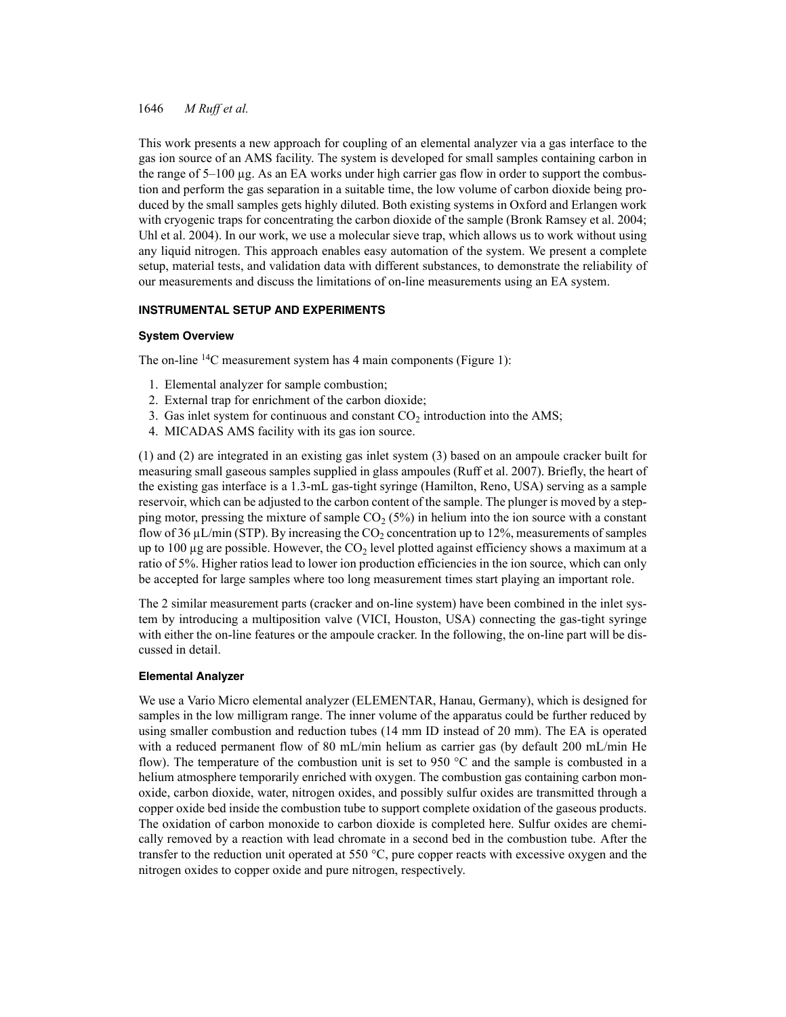This work presents a new approach for coupling of an elemental analyzer via a gas interface to the gas ion source of an AMS facility. The system is developed for small samples containing carbon in the range of 5–100 µg. As an EA works under high carrier gas flow in order to support the combustion and perform the gas separation in a suitable time, the low volume of carbon dioxide being produced by the small samples gets highly diluted. Both existing systems in Oxford and Erlangen work with cryogenic traps for concentrating the carbon dioxide of the sample (Bronk Ramsey et al. 2004; Uhl et al. 2004). In our work, we use a molecular sieve trap, which allows us to work without using any liquid nitrogen. This approach enables easy automation of the system. We present a complete setup, material tests, and validation data with different substances, to demonstrate the reliability of our measurements and discuss the limitations of on-line measurements using an EA system.

# **INSTRUMENTAL SETUP AND EXPERIMENTS**

## **System Overview**

The on-line <sup>14</sup>C measurement system has 4 main components (Figure 1):

- 1. Elemental analyzer for sample combustion;
- 2. External trap for enrichment of the carbon dioxide;
- 3. Gas inlet system for continuous and constant  $CO<sub>2</sub>$  introduction into the AMS;
- 4. MICADAS AMS facility with its gas ion source.

(1) and (2) are integrated in an existing gas inlet system (3) based on an ampoule cracker built for measuring small gaseous samples supplied in glass ampoules (Ruff et al. 2007). Briefly, the heart of the existing gas interface is a 1.3-mL gas-tight syringe (Hamilton, Reno, USA) serving as a sample reservoir, which can be adjusted to the carbon content of the sample. The plunger is moved by a stepping motor, pressing the mixture of sample  $CO<sub>2</sub> (5%)$  in helium into the ion source with a constant flow of 36  $\mu$ L/min (STP). By increasing the CO<sub>2</sub> concentration up to 12%, measurements of samples up to 100  $\mu$ g are possible. However, the CO<sub>2</sub> level plotted against efficiency shows a maximum at a ratio of 5%. Higher ratios lead to lower ion production efficiencies in the ion source, which can only be accepted for large samples where too long measurement times start playing an important role.

The 2 similar measurement parts (cracker and on-line system) have been combined in the inlet system by introducing a multiposition valve (VICI, Houston, USA) connecting the gas-tight syringe with either the on-line features or the ampoule cracker. In the following, the on-line part will be discussed in detail.

## **Elemental Analyzer**

We use a Vario Micro elemental analyzer (ELEMENTAR, Hanau, Germany), which is designed for samples in the low milligram range. The inner volume of the apparatus could be further reduced by using smaller combustion and reduction tubes (14 mm ID instead of 20 mm). The EA is operated with a reduced permanent flow of 80 mL/min helium as carrier gas (by default 200 mL/min He flow). The temperature of the combustion unit is set to 950 °C and the sample is combusted in a helium atmosphere temporarily enriched with oxygen. The combustion gas containing carbon monoxide, carbon dioxide, water, nitrogen oxides, and possibly sulfur oxides are transmitted through a copper oxide bed inside the combustion tube to support complete oxidation of the gaseous products. The oxidation of carbon monoxide to carbon dioxide is completed here. Sulfur oxides are chemically removed by a reaction with lead chromate in a second bed in the combustion tube. After the transfer to the reduction unit operated at 550 °C, pure copper reacts with excessive oxygen and the nitrogen oxides to copper oxide and pure nitrogen, respectively.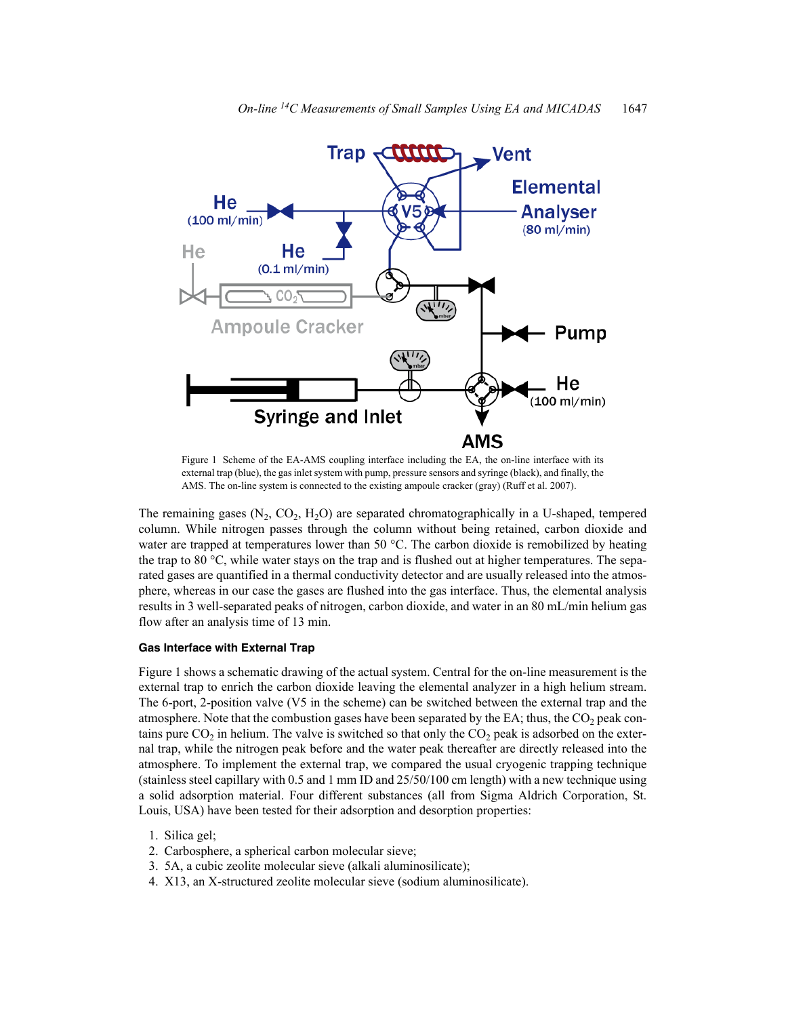

Figure 1 Scheme of the EA-AMS coupling interface including the EA, the on-line interface with its external trap (blue), the gas inlet system with pump, pressure sensors and syringe (black), and finally, the AMS. The on-line system is connected to the existing ampoule cracker (gray) (Ruff et al. 2007).

The remaining gases  $(N_2, CO_2, H_2O)$  are separated chromatographically in a U-shaped, tempered column. While nitrogen passes through the column without being retained, carbon dioxide and water are trapped at temperatures lower than 50  $^{\circ}$ C. The carbon dioxide is remobilized by heating the trap to 80 °C, while water stays on the trap and is flushed out at higher temperatures. The separated gases are quantified in a thermal conductivity detector and are usually released into the atmosphere, whereas in our case the gases are flushed into the gas interface. Thus, the elemental analysis results in 3 well-separated peaks of nitrogen, carbon dioxide, and water in an 80 mL/min helium gas flow after an analysis time of 13 min.

# **Gas Interface with External Trap**

Figure 1 shows a schematic drawing of the actual system. Central for the on-line measurement is the external trap to enrich the carbon dioxide leaving the elemental analyzer in a high helium stream. The 6-port, 2-position valve (V5 in the scheme) can be switched between the external trap and the atmosphere. Note that the combustion gases have been separated by the EA; thus, the  $CO<sub>2</sub>$  peak contains pure  $CO<sub>2</sub>$  in helium. The valve is switched so that only the  $CO<sub>2</sub>$  peak is adsorbed on the external trap, while the nitrogen peak before and the water peak thereafter are directly released into the atmosphere. To implement the external trap, we compared the usual cryogenic trapping technique (stainless steel capillary with 0.5 and 1 mm ID and 25/50/100 cm length) with a new technique using a solid adsorption material. Four different substances (all from Sigma Aldrich Corporation, St. Louis, USA) have been tested for their adsorption and desorption properties:

- 1. Silica gel;
- 2. Carbosphere, a spherical carbon molecular sieve;
- 3. 5A, a cubic zeolite molecular sieve (alkali aluminosilicate);
- 4. X13, an X-structured zeolite molecular sieve (sodium aluminosilicate).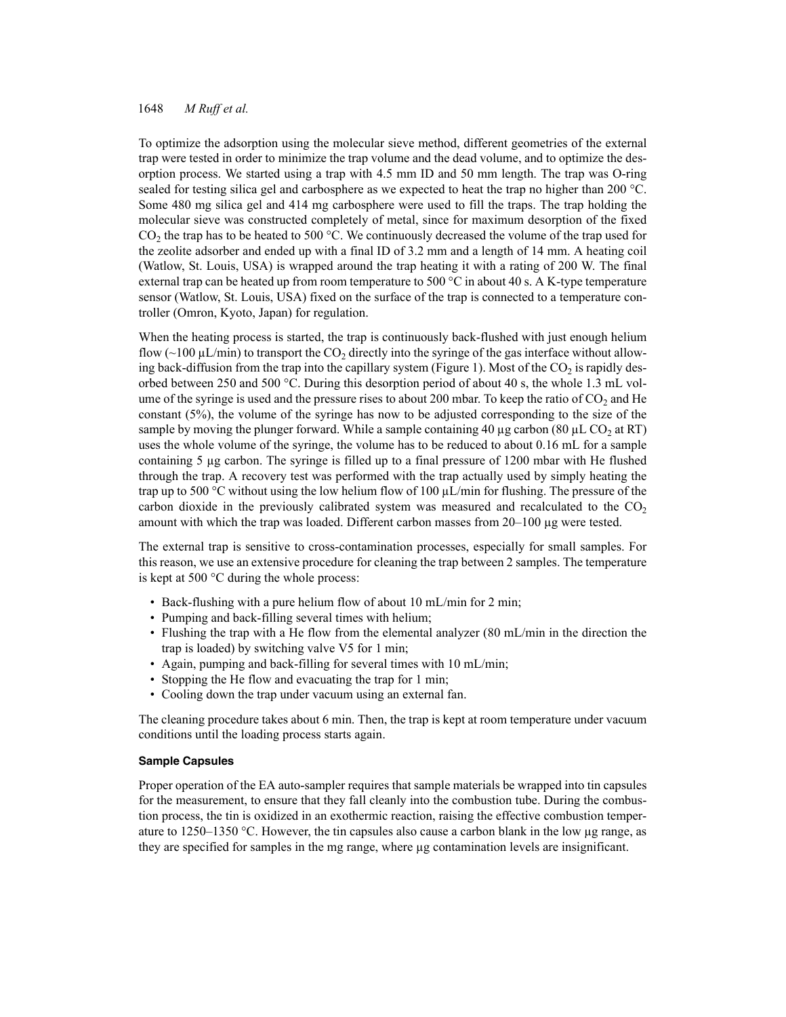To optimize the adsorption using the molecular sieve method, different geometries of the external trap were tested in order to minimize the trap volume and the dead volume, and to optimize the desorption process. We started using a trap with 4.5 mm ID and 50 mm length. The trap was O-ring sealed for testing silica gel and carbosphere as we expected to heat the trap no higher than 200 °C. Some 480 mg silica gel and 414 mg carbosphere were used to fill the traps. The trap holding the molecular sieve was constructed completely of metal, since for maximum desorption of the fixed  $CO<sub>2</sub>$  the trap has to be heated to 500 °C. We continuously decreased the volume of the trap used for the zeolite adsorber and ended up with a final ID of 3.2 mm and a length of 14 mm. A heating coil (Watlow, St. Louis, USA) is wrapped around the trap heating it with a rating of 200 W. The final external trap can be heated up from room temperature to 500  $^{\circ}$ C in about 40 s. A K-type temperature sensor (Watlow, St. Louis, USA) fixed on the surface of the trap is connected to a temperature controller (Omron, Kyoto, Japan) for regulation.

When the heating process is started, the trap is continuously back-flushed with just enough helium flow  $\sim 100 \mu L/min$ ) to transport the CO<sub>2</sub> directly into the syringe of the gas interface without allowing back-diffusion from the trap into the capillary system (Figure 1). Most of the  $CO<sub>2</sub>$  is rapidly desorbed between 250 and 500 °C. During this desorption period of about 40 s, the whole 1.3 mL volume of the syringe is used and the pressure rises to about 200 mbar. To keep the ratio of  $CO<sub>2</sub>$  and He constant (5%), the volume of the syringe has now to be adjusted corresponding to the size of the sample by moving the plunger forward. While a sample containing 40  $\mu$ g carbon (80  $\mu$ L CO<sub>2</sub> at RT) uses the whole volume of the syringe, the volume has to be reduced to about 0.16 mL for a sample containing 5 µg carbon. The syringe is filled up to a final pressure of 1200 mbar with He flushed through the trap. A recovery test was performed with the trap actually used by simply heating the trap up to 500 °C without using the low helium flow of 100  $\mu$ L/min for flushing. The pressure of the carbon dioxide in the previously calibrated system was measured and recalculated to the  $CO<sub>2</sub>$ amount with which the trap was loaded. Different carbon masses from 20–100 µg were tested.

The external trap is sensitive to cross-contamination processes, especially for small samples. For this reason, we use an extensive procedure for cleaning the trap between 2 samples. The temperature is kept at 500 °C during the whole process:

- Back-flushing with a pure helium flow of about 10 mL/min for 2 min;
- Pumping and back-filling several times with helium;
- Flushing the trap with a He flow from the elemental analyzer (80 mL/min in the direction the trap is loaded) by switching valve V5 for 1 min;
- Again, pumping and back-filling for several times with 10 mL/min;
- Stopping the He flow and evacuating the trap for 1 min;
- Cooling down the trap under vacuum using an external fan.

The cleaning procedure takes about 6 min. Then, the trap is kept at room temperature under vacuum conditions until the loading process starts again.

### **Sample Capsules**

Proper operation of the EA auto-sampler requires that sample materials be wrapped into tin capsules for the measurement, to ensure that they fall cleanly into the combustion tube. During the combustion process, the tin is oxidized in an exothermic reaction, raising the effective combustion temperature to 1250–1350 °C. However, the tin capsules also cause a carbon blank in the low  $\mu$ g range, as they are specified for samples in the mg range, where µg contamination levels are insignificant.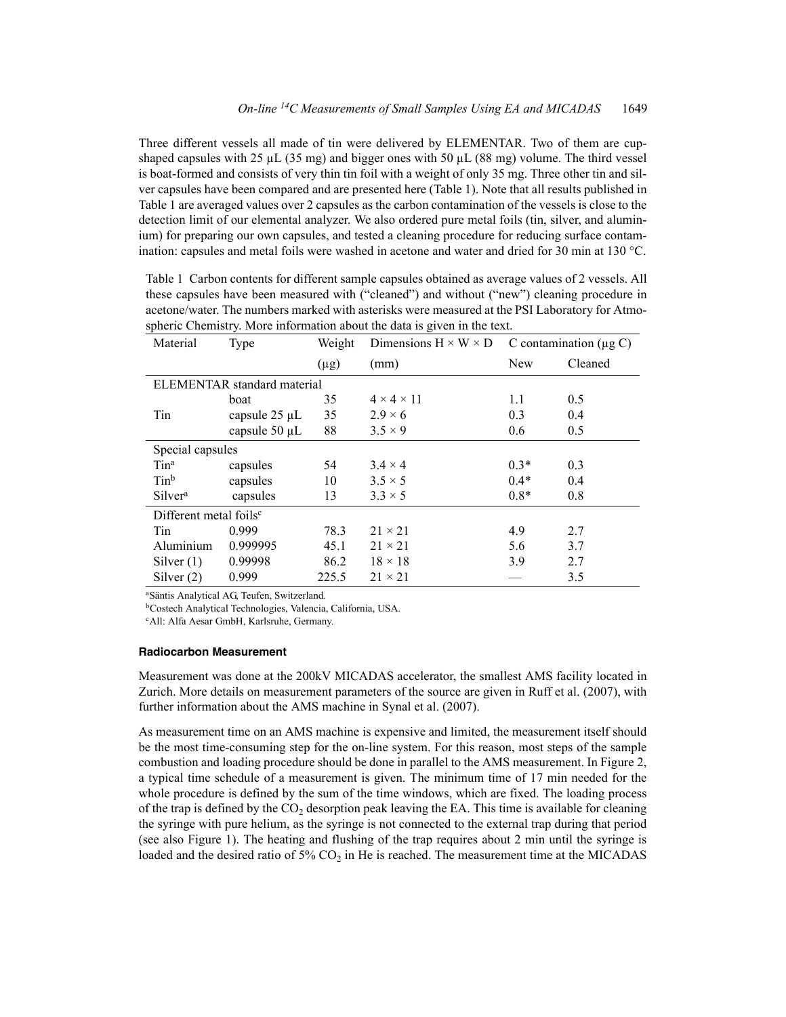Three different vessels all made of tin were delivered by ELEMENTAR. Two of them are cupshaped capsules with 25  $\mu$ L (35 mg) and bigger ones with 50  $\mu$ L (88 mg) volume. The third vessel is boat-formed and consists of very thin tin foil with a weight of only 35 mg. Three other tin and silver capsules have been compared and are presented here (Table 1). Note that all results published in Table 1 are averaged values over 2 capsules as the carbon contamination of the vessels is close to the detection limit of our elemental analyzer. We also ordered pure metal foils (tin, silver, and aluminium) for preparing our own capsules, and tested a cleaning procedure for reducing surface contamination: capsules and metal foils were washed in acetone and water and dried for 30 min at 130 °C.

|                                    |                    |           | spheric Chemistry. More information about the data is given in the text. |                             |         |  |  |
|------------------------------------|--------------------|-----------|--------------------------------------------------------------------------|-----------------------------|---------|--|--|
| Material                           | Type               | Weight    | Dimensions $H \times W \times D$                                         | C contamination $(\mu g C)$ |         |  |  |
|                                    |                    | $(\mu g)$ | (mm)                                                                     | <b>New</b>                  | Cleaned |  |  |
| <b>ELEMENTAR</b> standard material |                    |           |                                                                          |                             |         |  |  |
|                                    | boat               | 35        | $4 \times 4 \times 11$                                                   | 1.1                         | 0.5     |  |  |
| Tin                                | capsule $25 \mu L$ | 35        | $2.9 \times 6$                                                           | 0.3                         | 0.4     |  |  |
|                                    | capsule 50 µL      | 88        | $3.5 \times 9$                                                           | 0.6                         | 0.5     |  |  |
| Special capsules                   |                    |           |                                                                          |                             |         |  |  |
| $T$ in <sup>a</sup>                | capsules           | 54        | $3.4 \times 4$                                                           | $0.3*$                      | 0.3     |  |  |
| Tinb                               | capsules           | 10        | $3.5 \times 5$                                                           | $0.4*$                      | 0.4     |  |  |
| Silver <sup>a</sup>                | capsules           | 13        | $3.3 \times 5$                                                           | $0.8*$                      | 0.8     |  |  |
| Different metal foils <sup>c</sup> |                    |           |                                                                          |                             |         |  |  |
| Tin                                | 0.999              | 78.3      | $21 \times 21$                                                           | 4.9                         | 2.7     |  |  |
| Aluminium                          | 0.999995           | 45.1      | $21 \times 21$                                                           | 5.6                         | 3.7     |  |  |
| Silver $(1)$                       | 0.99998            | 86.2      | $18 \times 18$                                                           | 3.9                         | 2.7     |  |  |
| Silver $(2)$                       | 0.999              | 225.5     | $21 \times 21$                                                           |                             | 3.5     |  |  |

Table 1 Carbon contents for different sample capsules obtained as average values of 2 vessels. All these capsules have been measured with ("cleaned") and without ("new") cleaning procedure in acetone/water. The numbers marked with asterisks were measured at the PSI Laboratory for Atmospheric Chemistry. More information about the data is given in the text.

aSäntis Analytical AG, Teufen, Switzerland.

bCostech Analytical Technologies, Valencia, California, USA.

cAll: Alfa Aesar GmbH, Karlsruhe, Germany.

#### **Radiocarbon Measurement**

Measurement was done at the 200kV MICADAS accelerator, the smallest AMS facility located in Zurich. More details on measurement parameters of the source are given in Ruff et al. (2007), with further information about the AMS machine in Synal et al. (2007).

As measurement time on an AMS machine is expensive and limited, the measurement itself should be the most time-consuming step for the on-line system. For this reason, most steps of the sample combustion and loading procedure should be done in parallel to the AMS measurement. In Figure 2, a typical time schedule of a measurement is given. The minimum time of 17 min needed for the whole procedure is defined by the sum of the time windows, which are fixed. The loading process of the trap is defined by the  $CO<sub>2</sub>$  desorption peak leaving the EA. This time is available for cleaning the syringe with pure helium, as the syringe is not connected to the external trap during that period (see also Figure 1). The heating and flushing of the trap requires about 2 min until the syringe is loaded and the desired ratio of 5%  $CO<sub>2</sub>$  in He is reached. The measurement time at the MICADAS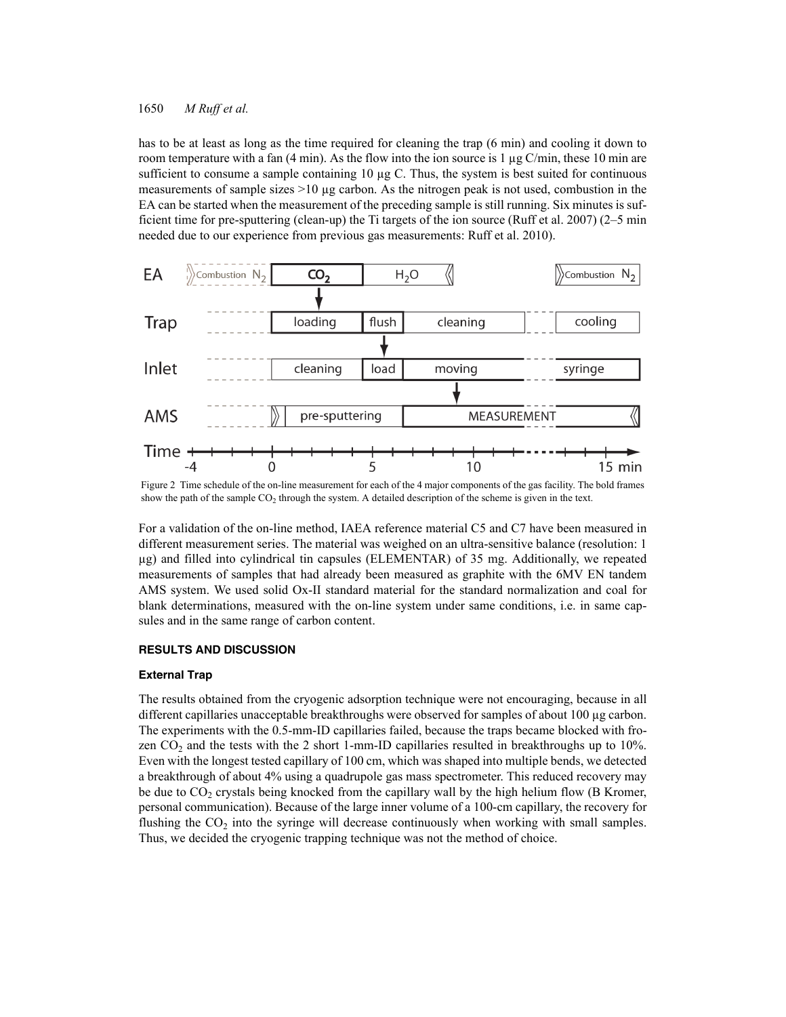has to be at least as long as the time required for cleaning the trap (6 min) and cooling it down to room temperature with a fan  $(4 \text{ min})$ . As the flow into the ion source is 1 µg C/min, these 10 min are sufficient to consume a sample containing 10 µg C. Thus, the system is best suited for continuous measurements of sample sizes  $>10$  µg carbon. As the nitrogen peak is not used, combustion in the EA can be started when the measurement of the preceding sample is still running. Six minutes is sufficient time for pre-sputtering (clean-up) the Ti targets of the ion source (Ruff et al. 2007) (2–5 min needed due to our experience from previous gas measurements: Ruff et al. 2010).



Figure 2 Time schedule of the on-line measurement for each of the 4 major components of the gas facility. The bold frames show the path of the sample  $CO<sub>2</sub>$  through the system. A detailed description of the scheme is given in the text.

For a validation of the on-line method, IAEA reference material C5 and C7 have been measured in different measurement series. The material was weighed on an ultra-sensitive balance (resolution: 1 µg) and filled into cylindrical tin capsules (ELEMENTAR) of 35 mg. Additionally, we repeated measurements of samples that had already been measured as graphite with the 6MV EN tandem AMS system. We used solid Ox-II standard material for the standard normalization and coal for blank determinations, measured with the on-line system under same conditions, i.e. in same capsules and in the same range of carbon content.

### **RESULTS AND DISCUSSION**

#### **External Trap**

The results obtained from the cryogenic adsorption technique were not encouraging, because in all different capillaries unacceptable breakthroughs were observed for samples of about 100 µg carbon. The experiments with the 0.5-mm-ID capillaries failed, because the traps became blocked with frozen  $CO<sub>2</sub>$  and the tests with the 2 short 1-mm-ID capillaries resulted in breakthroughs up to 10%. Even with the longest tested capillary of 100 cm, which was shaped into multiple bends, we detected a breakthrough of about 4% using a quadrupole gas mass spectrometer. This reduced recovery may be due to  $CO<sub>2</sub>$  crystals being knocked from the capillary wall by the high helium flow (B Kromer, personal communication). Because of the large inner volume of a 100-cm capillary, the recovery for flushing the  $CO<sub>2</sub>$  into the syringe will decrease continuously when working with small samples. Thus, we decided the cryogenic trapping technique was not the method of choice.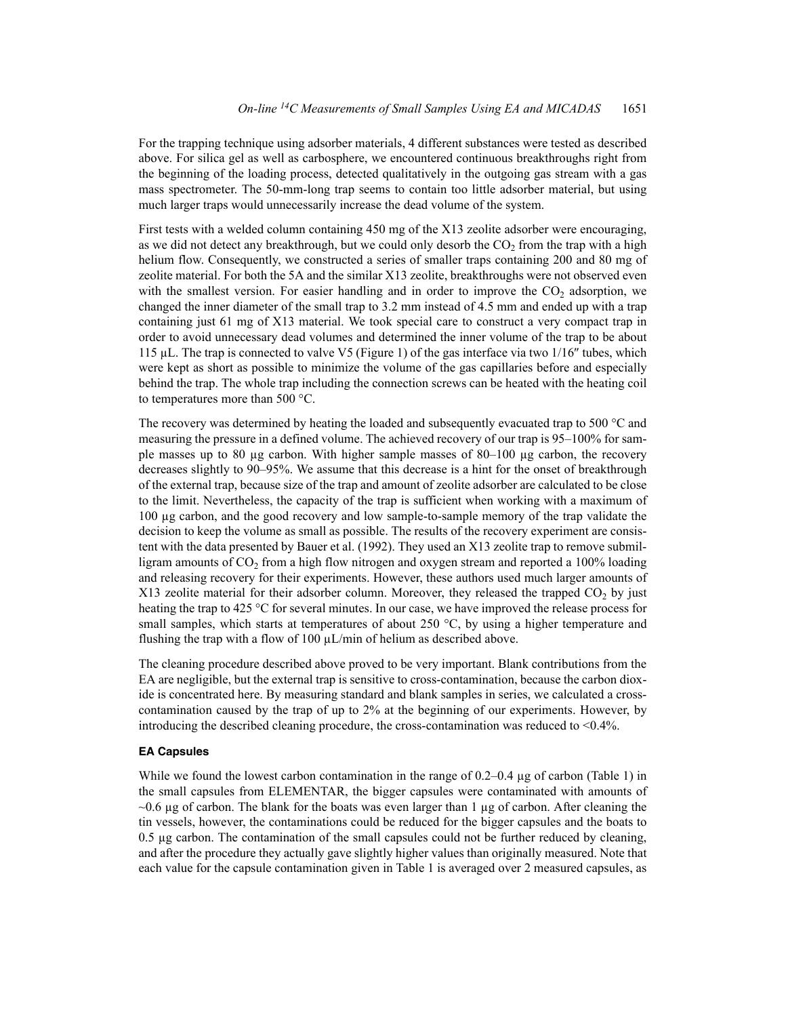For the trapping technique using adsorber materials, 4 different substances were tested as described above. For silica gel as well as carbosphere, we encountered continuous breakthroughs right from the beginning of the loading process, detected qualitatively in the outgoing gas stream with a gas mass spectrometer. The 50-mm-long trap seems to contain too little adsorber material, but using much larger traps would unnecessarily increase the dead volume of the system.

First tests with a welded column containing 450 mg of the X13 zeolite adsorber were encouraging, as we did not detect any breakthrough, but we could only desorb the  $CO<sub>2</sub>$  from the trap with a high helium flow. Consequently, we constructed a series of smaller traps containing 200 and 80 mg of zeolite material. For both the 5A and the similar X13 zeolite, breakthroughs were not observed even with the smallest version. For easier handling and in order to improve the  $CO<sub>2</sub>$  adsorption, we changed the inner diameter of the small trap to 3.2 mm instead of 4.5 mm and ended up with a trap containing just 61 mg of X13 material. We took special care to construct a very compact trap in order to avoid unnecessary dead volumes and determined the inner volume of the trap to be about 115  $\mu$ L. The trap is connected to valve V5 (Figure 1) of the gas interface via two 1/16" tubes, which were kept as short as possible to minimize the volume of the gas capillaries before and especially behind the trap. The whole trap including the connection screws can be heated with the heating coil to temperatures more than 500 °C.

The recovery was determined by heating the loaded and subsequently evacuated trap to 500 °C and measuring the pressure in a defined volume. The achieved recovery of our trap is 95–100% for sample masses up to 80  $\mu$ g carbon. With higher sample masses of 80–100  $\mu$ g carbon, the recovery decreases slightly to 90–95%. We assume that this decrease is a hint for the onset of breakthrough of the external trap, because size of the trap and amount of zeolite adsorber are calculated to be close to the limit. Nevertheless, the capacity of the trap is sufficient when working with a maximum of 100 µg carbon, and the good recovery and low sample-to-sample memory of the trap validate the decision to keep the volume as small as possible. The results of the recovery experiment are consistent with the data presented by Bauer et al. (1992). They used an X13 zeolite trap to remove submilligram amounts of  $CO<sub>2</sub>$  from a high flow nitrogen and oxygen stream and reported a 100% loading and releasing recovery for their experiments. However, these authors used much larger amounts of X13 zeolite material for their adsorber column. Moreover, they released the trapped  $CO<sub>2</sub>$  by just heating the trap to 425 °C for several minutes. In our case, we have improved the release process for small samples, which starts at temperatures of about 250  $\degree$ C, by using a higher temperature and flushing the trap with a flow of 100  $\mu$ L/min of helium as described above.

The cleaning procedure described above proved to be very important. Blank contributions from the EA are negligible, but the external trap is sensitive to cross-contamination, because the carbon dioxide is concentrated here. By measuring standard and blank samples in series, we calculated a crosscontamination caused by the trap of up to 2% at the beginning of our experiments. However, by introducing the described cleaning procedure, the cross-contamination was reduced to <0.4%.

#### **EA Capsules**

While we found the lowest carbon contamination in the range of  $0.2-0.4 \mu$ g of carbon (Table 1) in the small capsules from ELEMENTAR, the bigger capsules were contaminated with amounts of  $\sim$ 0.6 µg of carbon. The blank for the boats was even larger than 1 µg of carbon. After cleaning the tin vessels, however, the contaminations could be reduced for the bigger capsules and the boats to 0.5 µg carbon. The contamination of the small capsules could not be further reduced by cleaning, and after the procedure they actually gave slightly higher values than originally measured. Note that each value for the capsule contamination given in Table 1 is averaged over 2 measured capsules, as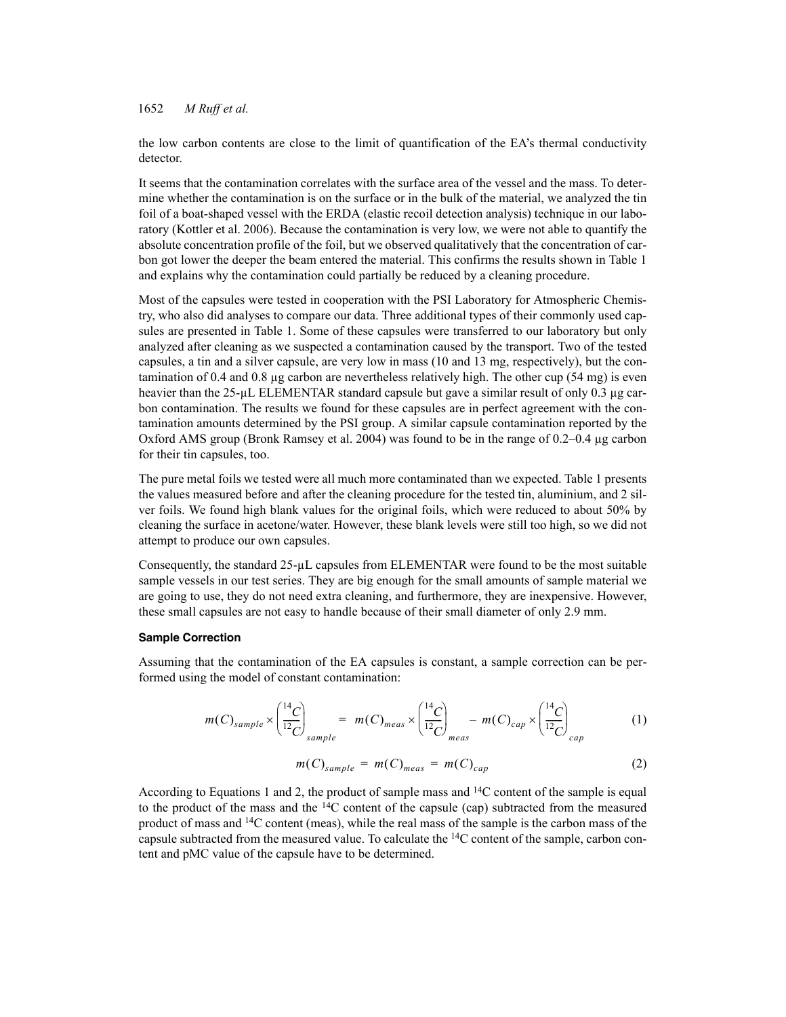the low carbon contents are close to the limit of quantification of the EA's thermal conductivity detector.

It seems that the contamination correlates with the surface area of the vessel and the mass. To determine whether the contamination is on the surface or in the bulk of the material, we analyzed the tin foil of a boat-shaped vessel with the ERDA (elastic recoil detection analysis) technique in our laboratory (Kottler et al. 2006). Because the contamination is very low, we were not able to quantify the absolute concentration profile of the foil, but we observed qualitatively that the concentration of carbon got lower the deeper the beam entered the material. This confirms the results shown in Table 1 and explains why the contamination could partially be reduced by a cleaning procedure.

Most of the capsules were tested in cooperation with the PSI Laboratory for Atmospheric Chemistry, who also did analyses to compare our data. Three additional types of their commonly used capsules are presented in Table 1. Some of these capsules were transferred to our laboratory but only analyzed after cleaning as we suspected a contamination caused by the transport. Two of the tested capsules, a tin and a silver capsule, are very low in mass (10 and 13 mg, respectively), but the contamination of 0.4 and 0.8 µg carbon are nevertheless relatively high. The other cup (54 mg) is even heavier than the  $25-\mu L$  ELEMENTAR standard capsule but gave a similar result of only 0.3  $\mu$ g carbon contamination. The results we found for these capsules are in perfect agreement with the contamination amounts determined by the PSI group. A similar capsule contamination reported by the Oxford AMS group (Bronk Ramsey et al. 2004) was found to be in the range of 0.2–0.4 µg carbon for their tin capsules, too.

The pure metal foils we tested were all much more contaminated than we expected. Table 1 presents the values measured before and after the cleaning procedure for the tested tin, aluminium, and 2 silver foils. We found high blank values for the original foils, which were reduced to about 50% by cleaning the surface in acetone/water. However, these blank levels were still too high, so we did not attempt to produce our own capsules.

Consequently, the standard 25-µL capsules from ELEMENTAR were found to be the most suitable sample vessels in our test series. They are big enough for the small amounts of sample material we are going to use, they do not need extra cleaning, and furthermore, they are inexpensive. However, these small capsules are not easy to handle because of their small diameter of only 2.9 mm.

#### **Sample Correction**

Assuming that the contamination of the EA capsules is constant, a sample correction can be performed using the model of constant contamination:

$$
m(C)_{sample} \times \left(\frac{^{14}C}{^{12}C}\right)_{sample} = m(C)_{meas} \times \left(\frac{^{14}C}{^{12}C}\right)_{meas} - m(C)_{cap} \times \left(\frac{^{14}C}{^{12}C}\right)_{cap} \tag{1}
$$

$$
m(C)_{sample} = m(C)_{meas} = m(C)_{cap}
$$
 (2)

According to Equations 1 and 2, the product of sample mass and  $14C$  content of the sample is equal to the product of the mass and the  $14C$  content of the capsule (cap) subtracted from the measured product of mass and  $^{14}C$  content (meas), while the real mass of the sample is the carbon mass of the capsule subtracted from the measured value. To calculate the 14C content of the sample, carbon content and pMC value of the capsule have to be determined.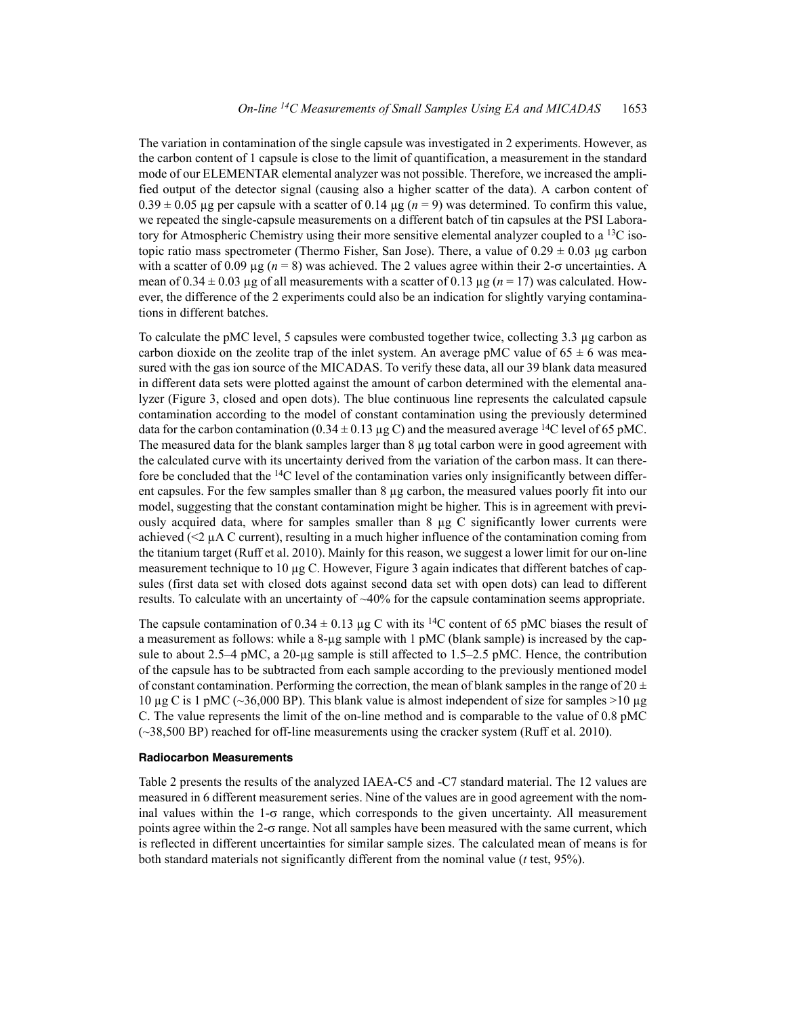The variation in contamination of the single capsule was investigated in 2 experiments. However, as the carbon content of 1 capsule is close to the limit of quantification, a measurement in the standard mode of our ELEMENTAR elemental analyzer was not possible. Therefore, we increased the amplified output of the detector signal (causing also a higher scatter of the data). A carbon content of  $0.39 \pm 0.05$  µg per capsule with a scatter of 0.14 µg ( $n = 9$ ) was determined. To confirm this value, we repeated the single-capsule measurements on a different batch of tin capsules at the PSI Laboratory for Atmospheric Chemistry using their more sensitive elemental analyzer coupled to a  $^{13}$ C isotopic ratio mass spectrometer (Thermo Fisher, San Jose). There, a value of  $0.29 \pm 0.03$  µg carbon with a scatter of 0.09  $\mu$ g (*n* = 8) was achieved. The 2 values agree within their 2- $\sigma$  uncertainties. A mean of  $0.34 \pm 0.03$  µg of all measurements with a scatter of  $0.13$  µg ( $n = 17$ ) was calculated. However, the difference of the 2 experiments could also be an indication for slightly varying contaminations in different batches.

To calculate the pMC level, 5 capsules were combusted together twice, collecting 3.3 µg carbon as carbon dioxide on the zeolite trap of the inlet system. An average pMC value of  $65 \pm 6$  was measured with the gas ion source of the MICADAS. To verify these data, all our 39 blank data measured in different data sets were plotted against the amount of carbon determined with the elemental analyzer (Figure 3, closed and open dots). The blue continuous line represents the calculated capsule contamination according to the model of constant contamination using the previously determined data for the carbon contamination ( $0.34 \pm 0.13 \,\mu$ g C) and the measured average <sup>14</sup>C level of 65 pMC. The measured data for the blank samples larger than 8 µg total carbon were in good agreement with the calculated curve with its uncertainty derived from the variation of the carbon mass. It can therefore be concluded that the <sup>14</sup>C level of the contamination varies only insignificantly between different capsules. For the few samples smaller than 8 µg carbon, the measured values poorly fit into our model, suggesting that the constant contamination might be higher. This is in agreement with previously acquired data, where for samples smaller than 8 µg C significantly lower currents were achieved  $(\leq)$   $\mu$ A C current), resulting in a much higher influence of the contamination coming from the titanium target (Ruff et al. 2010). Mainly for this reason, we suggest a lower limit for our on-line measurement technique to 10 µg C. However, Figure 3 again indicates that different batches of capsules (first data set with closed dots against second data set with open dots) can lead to different results. To calculate with an uncertainty of ~40% for the capsule contamination seems appropriate.

The capsule contamination of  $0.34 \pm 0.13$  µg C with its <sup>14</sup>C content of 65 pMC biases the result of a measurement as follows: while a 8-µg sample with 1 pMC (blank sample) is increased by the capsule to about 2.5–4 pMC, a 20-µg sample is still affected to 1.5–2.5 pMC. Hence, the contribution of the capsule has to be subtracted from each sample according to the previously mentioned model of constant contamination. Performing the correction, the mean of blank samples in the range of 20  $\pm$ 10  $\mu$ g C is 1 pMC (~36,000 BP). This blank value is almost independent of size for samples >10  $\mu$ g C. The value represents the limit of the on-line method and is comparable to the value of 0.8 pMC (~38,500 BP) reached for off-line measurements using the cracker system (Ruff et al. 2010).

### **Radiocarbon Measurements**

Table 2 presents the results of the analyzed IAEA-C5 and -C7 standard material. The 12 values are measured in 6 different measurement series. Nine of the values are in good agreement with the nominal values within the  $1-\sigma$  range, which corresponds to the given uncertainty. All measurement points agree within the  $2-\sigma$  range. Not all samples have been measured with the same current, which is reflected in different uncertainties for similar sample sizes. The calculated mean of means is for both standard materials not significantly different from the nominal value (*t* test, 95%).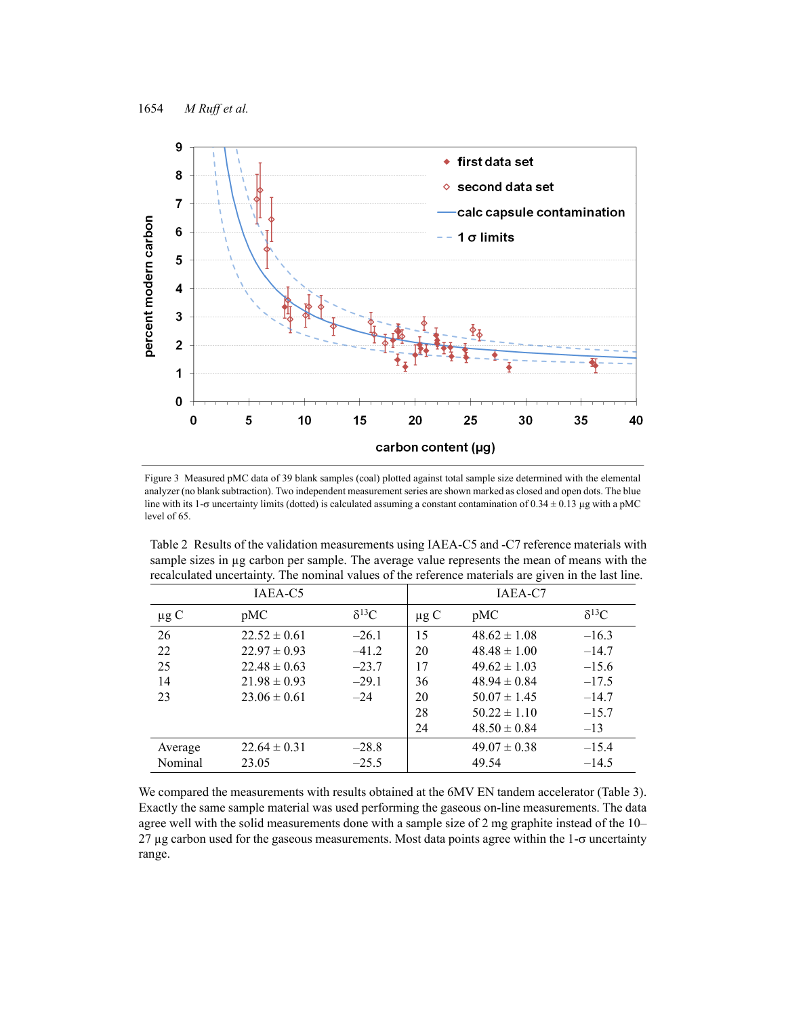

Figure 3 Measured pMC data of 39 blank samples (coal) plotted against total sample size determined with the elemental analyzer (no blank subtraction). Two independent measurement series are shown marked as closed and open dots. The blue line with its 1- $\sigma$  uncertainty limits (dotted) is calculated assuming a constant contamination of 0.34  $\pm$  0.13 µg with a pMC level of 65.

Table 2 Results of the validation measurements using IAEA-C5 and -C7 reference materials with sample sizes in µg carbon per sample. The average value represents the mean of means with the recalculated uncertainty. The nominal values of the reference materials are given in the last line.

| IAEA-C5   |                  |                | IAEA-C7   |                  |                |
|-----------|------------------|----------------|-----------|------------------|----------------|
| $\mu$ g C | pMC              | $\delta^{13}C$ | $\mu$ g C | pMC              | $\delta^{13}C$ |
| 26        | $22.52 \pm 0.61$ | $-26.1$        | 15        | $48.62 \pm 1.08$ | $-16.3$        |
| 22        | $22.97 \pm 0.93$ | $-41.2$        | 20        | $48.48 \pm 1.00$ | $-14.7$        |
| 25        | $22.48 \pm 0.63$ | $-23.7$        | 17        | $49.62 \pm 1.03$ | $-15.6$        |
| 14        | $21.98 \pm 0.93$ | $-29.1$        | 36        | $48.94 \pm 0.84$ | $-17.5$        |
| 23        | $23.06 \pm 0.61$ | $-24$          | 20        | $50.07 \pm 1.45$ | $-14.7$        |
|           |                  |                | 28        | $50.22 \pm 1.10$ | $-15.7$        |
|           |                  |                | 24        | $48.50 \pm 0.84$ | $-13$          |
| Average   | $22.64 \pm 0.31$ | $-28.8$        |           | $49.07 \pm 0.38$ | $-15.4$        |
| Nominal   | 23.05            | $-25.5$        |           | 49.54            | $-14.5$        |

We compared the measurements with results obtained at the 6MV EN tandem accelerator (Table 3). Exactly the same sample material was used performing the gaseous on-line measurements. The data agree well with the solid measurements done with a sample size of 2 mg graphite instead of the 10–  $27 \mu$ g carbon used for the gaseous measurements. Most data points agree within the  $1-\sigma$  uncertainty range.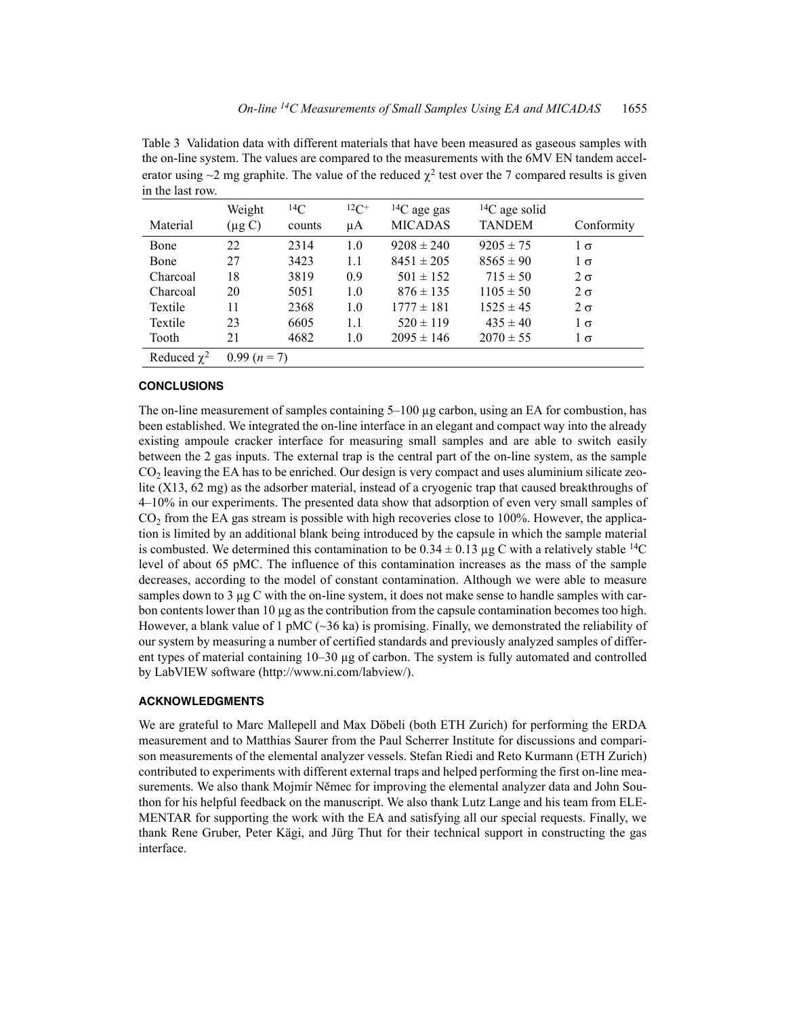Table 3 Validation data with different materials that have been measured as gaseous samples with the on-line system. The values are compared to the measurements with the 6MV EN tandem accelerator using  $\sim$ 2 mg graphite. The value of the reduced  $\chi^2$  test over the 7 compared results is given in the last row.

|                  | Weight      | ${}^{14}C$ | ${}^{12}C^+$ | ${}^{14}C$ age gas | ${}^{14}C$ age solid |            |
|------------------|-------------|------------|--------------|--------------------|----------------------|------------|
| Material         | $(\mu g C)$ | counts     | μA           | <b>MICADAS</b>     | <b>TANDEM</b>        | Conformity |
| Bone             | 22          | 2314       | 1.0          | $9208 \pm 240$     | $9205 \pm 75$        | $1\sigma$  |
| Bone             | 27          | 3423       | 1.1          | $8451 \pm 205$     | $8565 \pm 90$        | $1\sigma$  |
| Charcoal         | 18          | 3819       | 0.9          | $501 \pm 152$      | $715 \pm 50$         | $2\sigma$  |
| Charcoal         | 20          | 5051       | 1.0          | $876 \pm 135$      | $1105 \pm 50$        | $2\sigma$  |
| Textile          | 11          | 2368       | 1.0          | $1777 \pm 181$     | $1525 \pm 45$        | $2\sigma$  |
| Textile          | 23          | 6605       | 1.1          | $520 \pm 119$      | $435 \pm 40$         | $1\sigma$  |
| Tooth            | 21          | 4682       | 1.0          | $2095 \pm 146$     | $2070 \pm 55$        | $1\sigma$  |
| Reduced $\chi^2$ | $0.99(n=7)$ |            |              |                    |                      |            |

## **CONCLUSIONS**

The on-line measurement of samples containing 5–100 ug carbon, using an EA for combustion, has been established. We integrated the on-line interface in an elegant and compact way into the already existing ampoule cracker interface for measuring small samples and are able to switch easily between the 2 gas inputs. The external trap is the central part of the on-line system, as the sample  $CO<sub>2</sub>$  leaving the EA has to be enriched. Our design is very compact and uses aluminium silicate zeolite (X13, 62 mg) as the adsorber material, instead of a cryogenic trap that caused breakthroughs of 4–10% in our experiments. The presented data show that adsorption of even very small samples of  $CO<sub>2</sub>$  from the EA gas stream is possible with high recoveries close to 100%. However, the application is limited by an additional blank being introduced by the capsule in which the sample material is combusted. We determined this contamination to be  $0.34 \pm 0.13$  ug C with a relatively stable <sup>14</sup>C level of about 65 pMC. The influence of this contamination increases as the mass of the sample decreases, according to the model of constant contamination. Although we were able to measure samples down to 3 µg C with the on-line system, it does not make sense to handle samples with carbon contents lower than  $10 \mu$ g as the contribution from the capsule contamination becomes too high. However, a blank value of 1 pMC ( $\sim$ 36 ka) is promising. Finally, we demonstrated the reliability of our system by measuring a number of certified standards and previously analyzed samples of different types of material containing 10–30 µg of carbon. The system is fully automated and controlled by LabVIEW software (http://www.ni.com/labview/).

### **ACKNOWLEDGMENTS**

We are grateful to Marc Mallepell and Max Döbeli (both ETH Zurich) for performing the ERDA measurement and to Matthias Saurer from the Paul Scherrer Institute for discussions and comparison measurements of the elemental analyzer vessels. Stefan Riedi and Reto Kurmann (ETH Zurich) contributed to experiments with different external traps and helped performing the first on-line measurements. We also thank Mojmír Němec for improving the elemental analyzer data and John Southon for his helpful feedback on the manuscript. We also thank Lutz Lange and his team from ELE-MENTAR for supporting the work with the EA and satisfying all our special requests. Finally, we thank Rene Gruber, Peter Kägi, and Jürg Thut for their technical support in constructing the gas interface.